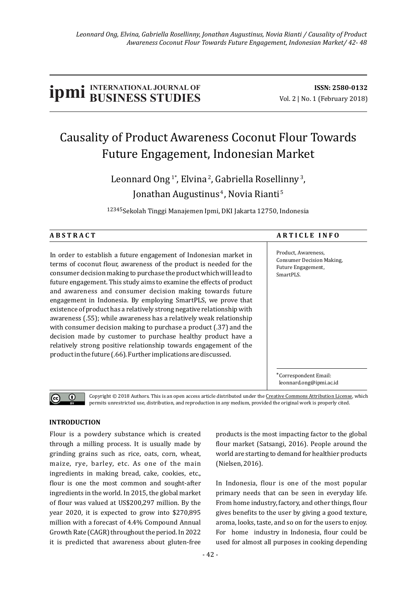# **IDMI** BUSINESS STUDIES **ISSN:** 2580-0132

# Causality of Product Awareness Coconut Flour Towards Future Engagement, Indonesian Market

Leonnard Ong<sup>1\*</sup>, Elvina<sup>2</sup>, Gabriella Rosellinny<sup>3</sup>, Jonathan Augustinus<sup>4</sup>, Novia Rianti<sup>5</sup>

12345 Sekolah Tinggi Manajemen Ipmi, DKI Jakarta 12750, Indonesia

| A B S T R A C T                                                                                                                                                                                                                                                                                                                                                                                                                                                                                                                                                                                                                                                                                                                                                                                                                                      | <b>ARTICLE INFO</b>                                                                        |  |  |
|------------------------------------------------------------------------------------------------------------------------------------------------------------------------------------------------------------------------------------------------------------------------------------------------------------------------------------------------------------------------------------------------------------------------------------------------------------------------------------------------------------------------------------------------------------------------------------------------------------------------------------------------------------------------------------------------------------------------------------------------------------------------------------------------------------------------------------------------------|--------------------------------------------------------------------------------------------|--|--|
| In order to establish a future engagement of Indonesian market in<br>terms of coconut flour, awareness of the product is needed for the<br>consumer decision making to purchase the product which will lead to<br>future engagement. This study aims to examine the effects of product<br>and awareness and consumer decision making towards future<br>engagement in Indonesia. By employing SmartPLS, we prove that<br>existence of product has a relatively strong negative relationship with<br>awareness (.55); while awareness has a relatively weak relationship<br>with consumer decision making to purchase a product (.37) and the<br>decision made by customer to purchase healthy product have a<br>relatively strong positive relationship towards engagement of the<br>product in the future (.66). Further implications are discussed. | Product, Awareness,<br><b>Consumer Decision Making,</b><br>Future Engagement,<br>SmartPLS. |  |  |
|                                                                                                                                                                                                                                                                                                                                                                                                                                                                                                                                                                                                                                                                                                                                                                                                                                                      | *Correspondent Email:<br>leonnard.ong@ipmi.ac.id                                           |  |  |

Copyright  $@$  2018 Authors. This is an open access article distributed under the Creative Commons Attribution License, which permits unrestricted use, distribution, and reproduction in any medium, provided the original work is properly cited.

## **INTRODUCTION**

 $\odot$ 

Flour is a powdery substance which is created through a milling process. It is usually made by grinding grains such as rice, oats, corn, wheat, maize, rye, barley, etc. As one of the main ingredients in making bread, cake, cookies, etc., flour is one the most common and sought-after ingredients in the world. In 2015, the global market of flour was valued at US\$200,297 million. By the year 2020, it is expected to grow into \$270,895 million with a forecast of 4.4% Compound Annual Growth Rate (CAGR) throughout the period. In 2022 it is predicted that awareness about gluten-free products is the most impacting factor to the global flour market (Satsangi, 2016). People around the world are starting to demand for healthier products (Nielsen, 2016).

In Indonesia, flour is one of the most popular primary needs that can be seen in everyday life. From home industry, factory, and other things, flour gives benefits to the user by giving a good texture, aroma, looks, taste, and so on for the users to enjoy. For home industry in Indonesia, flour could be used for almost all purposes in cooking depending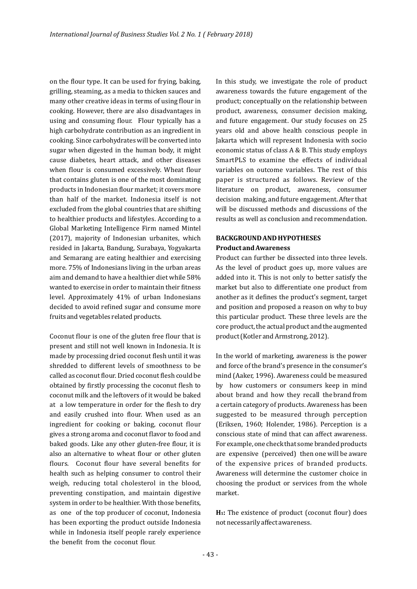on the flour type. It can be used for frying, baking, grilling, steaming, as a media to thicken sauces and many other creative ideas in terms of using flour in cooking. However, there are also disadvantages in using and consuming flour. Flour typically has a high carbohydrate contribution as an ingredient in cooking. Since carbohydrates will be converted into sugar when digested in the human body, it might cause diabetes, heart attack, and other diseases when flour is consumed excessively. Wheat flour that contains gluten is one of the most dominating products in Indonesian flour market; it covers more than half of the market. Indonesia itself is not excluded from the global countries that are shifting to healthier products and lifestyles. According to a Global Marketing Intelligence Firm named Mintel (2017), majority of Indonesian urbanites, which resided in Jakarta, Bandung, Surabaya, Yogyakarta and Semarang are eating healthier and exercising more. 75% of Indonesians living in the urban areas aim and demand to have a healthier diet while 58% wanted to exercise in order to maintain their fitness level. Approximately 41% of urban Indonesians decided to avoid refined sugar and consume more fruits and vegetables related products.

Coconut flour is one of the gluten free flour that is present and still not well known in Indonesia. It is made by processing dried coconut flesh until it was shredded to different levels of smoothness to be called as coconut flour. Dried coconut flesh could be obtained by firstly processing the coconut flesh to coconut milk and the leftovers of it would be baked at a low temperature in order for the flesh to dry and easily crushed into flour. When used as an ingredient for cooking or baking, coconut flour gives a strong aroma and coconut flavor to food and baked goods. Like any other gluten-free flour, it is also an alternative to wheat flour or other gluten flours. Coconut flour have several benefits for health such as helping consumer to control their weigh, reducing total cholesterol in the blood, preventing constipation, and maintain digestive system in order to be healthier. With those benefits, as one of the top producer of coconut, Indonesia has been exporting the product outside Indonesia while in Indonesia itself people rarely experience the benefit from the coconut flour.

In this study, we investigate the role of product awareness towards the future engagement of the product; conceptually on the relationship between product, awareness, consumer decision making, and future engagement. Our study focuses on 25 years old and above health conscious people in Jakarta which will represent Indonesia with socio economic status of class  $A \& B$ . This study employs SmartPLS to examine the effects of individual variables on outcome variables. The rest of this paper is structured as follows. Review of the literature on product, awareness, consumer decision making, and future engagement. After that will be discussed methods and discussions of the results as well as conclusion and recommendation.

# **BACKGROUND AND HYPOTHESES Product and Awareness**

Product can further be dissected into three levels. As the level of product goes up, more values are added into it. This is not only to better satisfy the market but also to differentiate one product from another as it defines the product's segment, target and position and proposed a reason on why to buy this particular product. These three levels are the core product, the actual product and the augmented product (Kotler and Armstrong, 2012).

In the world of marketing, awareness is the power and force of the brand's presence in the consumer's mind (Aaker, 1996). Awareness could be measured by how customers or consumers keep in mind about brand and how they recall the brand from a certain category of products. Awareness has been suggested to be measured through perception (Eriksen, 1960; Holender, 1986). Perception is a conscious state of mind that can affect awareness. For example, one check that some branded products are expensive (perceived) then one will be aware of the expensive prices of branded products. Awareness will determine the customer choice in choosing the product or services from the whole market.

**H**<sub>1</sub>: The existence of product (coconut flour) does not necessarily affect awareness.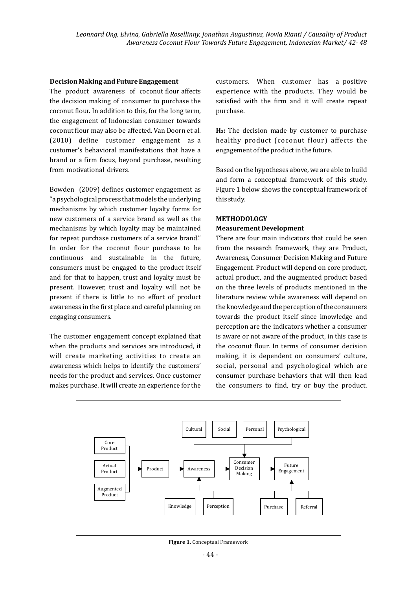#### **Decision Making and Future Engagement**

The product awareness of coconut flour affects the decision making of consumer to purchase the coconut flour. In addition to this, for the long term, the engagement of Indonesian consumer towards coconut flour may also be affected. Van Doorn et al. (2010) define customer engagement as a customer's behavioral manifestations that have a brand or a firm focus, beyond purchase, resulting from motivational drivers.

Bowden (2009) defines customer engagement as "a psychological process that models the underlying mechanisms by which customer loyalty forms for new customers of a service brand as well as the mechanisms by which loyalty may be maintained for repeat purchase customers of a service brand." In order for the coconut flour purchase to be continuous and sustainable in the future, consumers must be engaged to the product itself and for that to happen, trust and loyalty must be present. However, trust and loyalty will not be present if there is little to no effort of product awareness in the first place and careful planning on engaging consumers.

The customer engagement concept explained that when the products and services are introduced, it will create marketing activities to create an awareness which helps to identify the customers' needs for the product and services. Once customer makes purchase. It will create an experience for the customers. When customer has a positive experience with the products. They would be satisfied with the firm and it will create repeat purchase.

**H**<sub>3</sub>**:** The decision made by customer to purchase healthy product (coconut flour) affects the engagement of the product in the future.

Based on the hypotheses above, we are able to build and form a conceptual framework of this study. Figure 1 below shows the conceptual framework of this study.

#### **METHODOLOGY**

#### **Measurement Development**

There are four main indicators that could be seen from the research framework, they are Product, Awareness, Consumer Decision Making and Future Engagement. Product will depend on core product, actual product, and the augmented product based on the three levels of products mentioned in the literature review while awareness will depend on the knowledge and the perception of the consumers towards the product itself since knowledge and perception are the indicators whether a consumer is aware or not aware of the product, in this case is the coconut flour. In terms of consumer decision making, it is dependent on consumers' culture, social, personal and psychological which are consumer purchase behaviors that will then lead the consumers to find, try or buy the product.



**Figure 1.** Conceptual Framework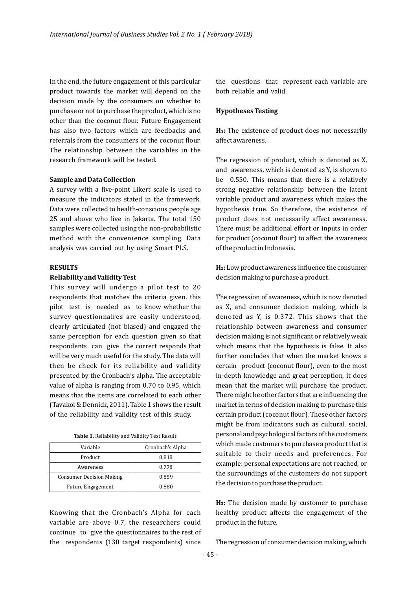In the end, the future engagement of this particular product towards the market will depend on the decision made by the consumers on whether to purchase or not to purchase the product, which is no other than the coconut flour. Future Engagement has also two factors which are feedbacks and referrals from the consumers of the coconut flour. The relationship between the variables in the research framework will be tested.

#### **Sample and Data Collection**

A survey with a five-point Likert scale is used to measure the indicators stated in the framework. Data were collected to health-conscious people age 25 and above who live in Jakarta. The total 150 samples were collected using the non-probabilistic method with the convenience sampling. Data analysis was carried out by using Smart PLS.

#### **RESULTS**

#### **Reliability and Validity Test**

This survey will undergo a pilot test to 20 respondents that matches the criteria given. this pilot test is needed as to know whether the survey questionnaires are easily understood, clearly articulated (not biased) and engaged the same perception for each question given so that respondents can give the correct responds that will be very much useful for the study. The data will then be check for its reliability and validity presented by the Cronbach's alpha. The acceptable value of alpha is ranging from  $0.70$  to  $0.95$ , which means that the items are correlated to each other (Tavakol & Dennick, 2011). Table 1 shows the result of the reliability and validity test of this study.

| Variable                        | Cronbach's Alpha |  |
|---------------------------------|------------------|--|
| Product                         | 0.818            |  |
| Awareness                       | 0.778            |  |
| <b>Consumer Decision Making</b> | 0.859            |  |
| <b>Future Engagement</b>        | 0.880            |  |

Knowing that the Cronbach's Alpha for each variable are above 0.7, the researchers could continue to give the questionnaires to the rest of the respondents (130 target respondents) since

the questions that represent each variable are both reliable and valid.

#### **Hypotheses Testing**

**H**<sub>1</sub>: The existence of product does not necessarily affect awareness.

The regression of product, which is denoted as X, and awareness, which is denoted as Y, is shown to be  $0.550$ . This means that there is a relatively strong negative relationship between the latent variable product and awareness which makes the hypothesis true. So therefore, the existence of product does not necessarily affect awareness. There must be additional effort or inputs in order for product (coconut flour) to affect the awareness of the product in Indonesia.

**H**<sub>2</sub>**:** Low product awareness influence the consumer decision making to purchase a product.

The regression of awareness, which is now denoted as X, and consumer decision making, which is denoted as Y, is 0.372. This shows that the relationship between awareness and consumer decision making is not significant or relatively weak which means that the hypothesis is false. It also further concludes that when the market knows a certain product (coconut flour), even to the most in-depth knowledge and great perception, it does mean that the market will purchase the product. There might be other factors that are influencing the market in terms of decision making to purchase this certain product (coconut flour). These other factors might be from indicators such as cultural, social, personal and psychological factors of the customers which made customers to purchase a product that is suitable to their needs and preferences. For example: personal expectations are not reached, or the surroundings of the customers do not support the decision to purchase the product.

**H**<sub>3</sub>**:** The decision made by customer to purchase healthy product affects the engagement of the product in the future.

The regression of consumer decision making, which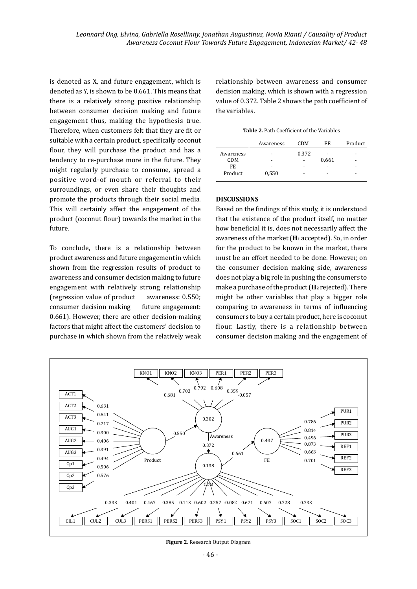is denoted as X, and future engagement, which is denoted as Y, is shown to be 0.661. This means that there is a relatively strong positive relationship between consumer decision making and future engagement thus, making the hypothesis true. Therefore, when customers felt that they are fit or suitable with a certain product, specifically coconut flour, they will purchase the product and has a tendency to re-purchase more in the future. They might regularly purchase to consume, spread a positive word-of mouth or referral to their surroundings, or even share their thoughts and promote the products through their social media. This will certainly affect the engagement of the product (coconut flour) towards the market in the future.

To conclude, there is a relationship between product awareness and future engagement in which shown from the regression results of product to awareness and consumer decision making to future engagement with relatively strong relationship (regression value of product awareness: 0.550; consumer decision making future engagement: 0.661). However, there are other decision-making factors that might affect the customers' decision to purchase in which shown from the relatively weak relationship between awareness and consumer decision making, which is shown with a regression value of 0.372. Table 2 shows the path coefficient of the variables.

**Table 2.** Path Coefficient of the Variables

|           | Awareness | <b>CDM</b> | FF.   | Product |
|-----------|-----------|------------|-------|---------|
| Awareness |           | 0.372      |       |         |
| CDM       |           |            | 0,661 |         |
| FE        |           |            |       |         |
| Product   | 0,550     |            |       |         |
|           |           |            |       |         |

#### **DISCUSSIONS**

Based on the findings of this study, it is understood that the existence of the product itself, no matter how beneficial it is, does not necessarily affect the awareness of the market (H<sub>1</sub> accepted). So, in order for the product to be known in the market, there must be an effort needed to be done. However, on the consumer decision making side, awareness does not play a big role in pushing the consumers to make a purchase of the product (H<sub>2</sub> rejected). There might be other variables that play a bigger role comparing to awareness in terms of influencing consumers to buy a certain product, here is coconut flour. Lastly, there is a relationship between consumer decision making and the engagement of



**Figure 2.** Research Output Diagram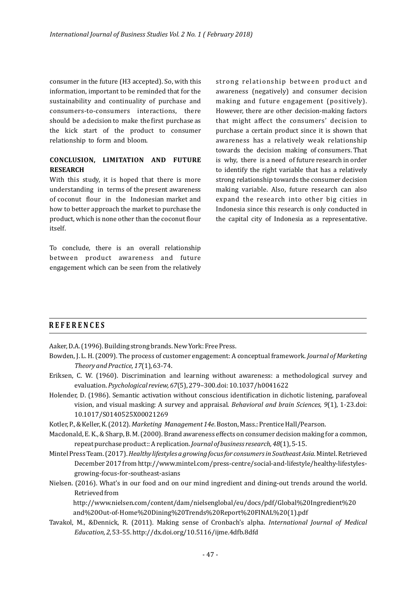consumer in the future (H3 accepted). So, with this information, important to be reminded that for the sustainability and continuality of purchase and consumers-to-consumers interactions, there should be a decision to make the first purchase as the kick start of the product to consumer relationship to form and bloom.

# **CONCLUSION, LIMITATION AND FUTURE RESEARCH**

With this study, it is hoped that there is more understanding in terms of the present awareness of coconut flour in the Indonesian market and how to better approach the market to purchase the product, which is none other than the coconut flour itself.

To conclude, there is an overall relationship between product awareness and future engagement which can be seen from the relatively strong relationship between product and awareness (negatively) and consumer decision making and future engagement (positively). However, there are other decision-making factors that might affect the consumers' decision to purchase a certain product since it is shown that awareness has a relatively weak relationship towards the decision making of consumers. That is why, there is a need of future research in order to identify the right variable that has a relatively strong relationship towards the consumer decision making variable. Also, future research can also expand the research into other big cities in Indonesia since this research is only conducted in the capital city of Indonesia as a representative.

## **REFERENCES**

Aaker, D.A. (1996). Building strong brands. New York: Free Press.

- Bowden, J. L. H. (2009). The process of customer engagement: A conceptual framework. *Journal of Marketing Theory and Practice, 17*(1), 63-74.
- Eriksen, C. W. (1960). Discrimination and learning without awareness: a methodological survey and evaluation. *Psychological review, 67*(5), 279–300.doi: 10.1037/h0041622
- Holender, D. (1986). Semantic activation without conscious identification in dichotic listening, parafoveal vision, and visual masking: A survey and appraisal. *Behavioral and brain Sciences*, 9(1), 1-23.doi: 10.1017/S0140525X00021269
- Kotler, P., & Keller, K. (2012). *Marketing Management 14e*. Boston, Mass.: Prentice Hall/Pearson.
- Macdonald, E. K., & Sharp, B. M. (2000). Brand awareness effects on consumer decision making for a common, repeat purchase product:: A replication. *Journal of business research*, 48(1), 5-15.
- Mintel Press Team. (2017). *Healthy lifestyles a growing focus for consumers in Southeast Asia.* Mintel. Retrieved December 2017 from http://www.mintel.com/press-centre/social-and-lifestyle/healthy-lifestylesgrowing-focus-for-southeast-asians
- Nielsen. (2016). What's in our food and on our mind ingredient and dining-out trends around the world. Retrieved from

 http://www.nielsen.com/content/dam/nielsenglobal/eu/docs/pdf/Global%20Ingredient%20 and%20Out-of-Home%20Dining%20Trends%20Report%20FINAL%20(1).pdf

Tavakol, M., &Dennick, R. (2011). Making sense of Cronbach's alpha. *International Journal of Medical Education, 2, 53-55. http://dx.doi.org/10.5116/ijme.4dfb.8dfd*